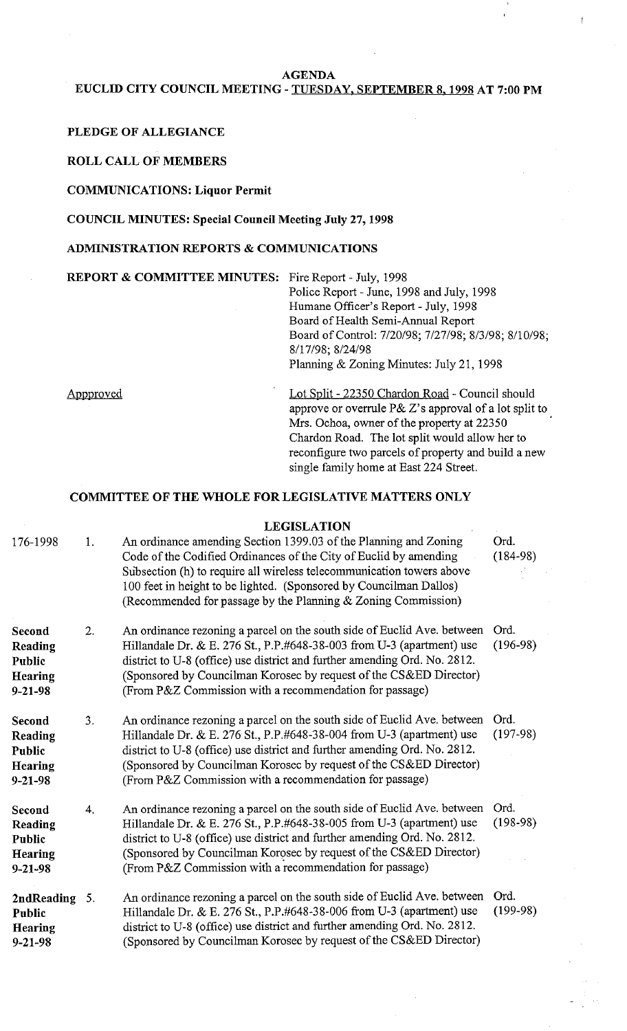**AGENDA** 

#### **EUCLID CITY COUNCIL MEETING** - **TUESDAY. SEPTEMBER 8.1998 AT 7:00 PM**

#### **PLEDGE OF ALLEGIANCE**

### **ROLL CALL OF MEMBERS**

### **COMMUNICATIONS: Liquor Permit**

#### **COUNCIL MINUTES: Special Council Meeting July 27,1998**

# **ADMINISTRATION REPORTS** & **COMMUNICATIONS**

**REPORT** & **COMMITTEE MINUTES:** Fire Report - July, 1998

Police Report - June, 1998 and July, 1998 Humane Officer's Report - July, 1998 Board of Health Semi-Annual Report Board of Control: 7120198; 7/27/98; 8/3/98; 8/10/98; 8/17/98; 8/24/98 Planning & Zoning Minutes: July 21, 1998

Appproved Lot Split - 22350 Chardon Road - Council should approve or overrule P& Z's approval of a lot split to Mrs. Ochoa, owner of the property at 22350 Chardon Road. The lot split would allow her to reconfigure two parcels of property and build a new single family home at East 224 Street.

#### **COMMITTEE OF THE WHOLE FOR LEGISLATIVE MATTERS ONLY**

#### **LEGISLATION**

| 176-1998                                                       | 1. | An ordinance amending Section 1399.03 of the Planning and Zoning<br>Code of the Codified Ordinances of the City of Euclid by amending<br>Subsection (h) to require all wireless telecommunication towers above<br>100 feet in height to be lighted. (Sponsored by Councilman Dallos)<br>(Recommended for passage by the Planning & Zoning Commission)          | Ord.<br>$(184-98)$ |
|----------------------------------------------------------------|----|----------------------------------------------------------------------------------------------------------------------------------------------------------------------------------------------------------------------------------------------------------------------------------------------------------------------------------------------------------------|--------------------|
| Second<br>Reading<br>Public<br>Hearing<br>$9 - 21 - 98$        | 2. | An ordinance rezoning a parcel on the south side of Euclid Ave. between<br>Hillandale Dr. & E. 276 St., P.P.#648-38-003 from U-3 (apartment) use<br>district to U-8 (office) use district and further amending Ord. No. 2812.<br>(Sponsored by Councilman Korosec by request of the CS&ED Director)<br>(From P&Z Commission with a recommendation for passage) | Ord.<br>$(196-98)$ |
| Second<br>Reading<br>Public<br><b>Hearing</b><br>$9 - 21 - 98$ | 3. | An ordinance rezoning a parcel on the south side of Euclid Ave. between<br>Hillandale Dr. & E. 276 St., P.P.#648-38-004 from U-3 (apartment) use<br>district to U-8 (office) use district and further amending Ord. No. 2812.<br>(Sponsored by Councilman Korosec by request of the CS&ED Director)<br>(From P&Z Commission with a recommendation for passage) | Ord.<br>$(197-98)$ |
| Second<br>Reading<br><b>Public</b><br>Hearing<br>$9 - 21 - 98$ | 4. | An ordinance rezoning a parcel on the south side of Euclid Ave. between<br>Hillandale Dr. & E. 276 St., P.P.#648-38-005 from U-3 (apartment) use<br>district to U-8 (office) use district and further amending Ord. No. 2812.<br>(Sponsored by Councilman Korosec by request of the CS&ED Director)<br>(From P&Z Commission with a recommendation for passage) | Ord.<br>$(198-98)$ |
| 2ndReading 5.<br>Public<br>Hearing<br>$9 - 21 - 98$            |    | An ordinance rezoning a parcel on the south side of Euclid Ave. between<br>Hillandale Dr. & E. 276 St., P.P.#648-38-006 from U-3 (apartment) use<br>district to U-8 (office) use district and further amending Ord. No. 2812.<br>(Sponsored by Councilman Korosec by request of the CS&ED Director)                                                            | Ord.<br>$(199-98)$ |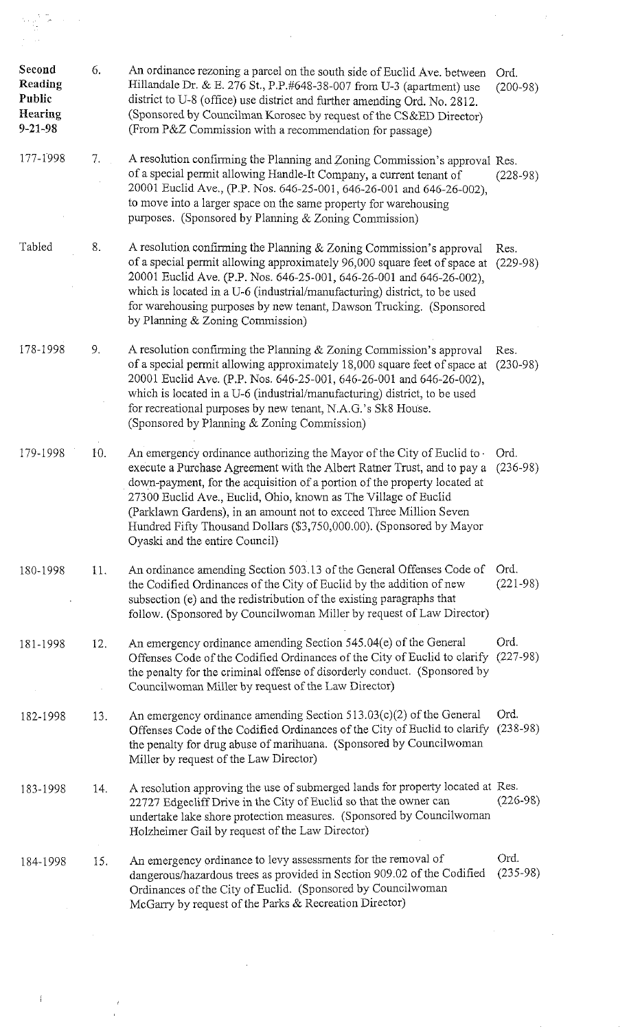| Second<br>Reading<br>Public<br>Hearing<br>$9 - 21 - 98$ | 6.  | An ordinance rezoning a parcel on the south side of Euclid Ave. between<br>Hillandale Dr. & E. 276 St., P.P.#648-38-007 from U-3 (apartment) use<br>district to U-8 (office) use district and further amending Ord. No. 2812.<br>(Sponsored by Councilman Korosec by request of the CS&ED Director)<br>(From P&Z Commission with a recommendation for passage)                                                                                                                           | Ord.<br>$(200-98)$ |
|---------------------------------------------------------|-----|------------------------------------------------------------------------------------------------------------------------------------------------------------------------------------------------------------------------------------------------------------------------------------------------------------------------------------------------------------------------------------------------------------------------------------------------------------------------------------------|--------------------|
| 177-1998                                                | 7.  | A resolution confirming the Planning and Zoning Commission's approval Res.<br>of a special permit allowing Handle-It Company, a current tenant of<br>20001 Euclid Ave., (P.P. Nos. 646-25-001, 646-26-001 and 646-26-002),<br>to move into a larger space on the same property for warehousing<br>purposes. (Sponsored by Planning & Zoning Commission)                                                                                                                                  | $(228-98)$         |
| Tabled                                                  | 8.  | A resolution confirming the Planning & Zoning Commission's approval<br>of a special permit allowing approximately 96,000 square feet of space at<br>20001 Euclid Ave. (P.P. Nos. 646-25-001, 646-26-001 and 646-26-002),<br>which is located in a U-6 (industrial/manufacturing) district, to be used<br>for warehousing purposes by new tenant, Dawson Trucking. (Sponsored<br>by Planning & Zoning Commission)                                                                         | Res.<br>$(229-98)$ |
| 178-1998                                                | 9.  | A resolution confirming the Planning $&$ Zoning Commission's approval<br>of a special permit allowing approximately 18,000 square feet of space at<br>20001 Euclid Ave. (P.P. Nos. 646-25-001, 646-26-001 and 646-26-002),<br>which is located in a U-6 (industrial/manufacturing) district, to be used<br>for recreational purposes by new tenant, N.A.G.'s Sk8 House.<br>(Sponsored by Planning & Zoning Commission)                                                                   | Res.<br>$(230-98)$ |
| 179-1998                                                | 10. | An emergency ordinance authorizing the Mayor of the City of Euclid to $\cdot$<br>execute a Purchase Agreement with the Albert Ratner Trust, and to pay a<br>down-payment, for the acquisition of a portion of the property located at<br>27300 Euclid Ave., Euclid, Ohio, known as The Village of Euclid<br>(Parklawn Gardens), in an amount not to exceed Three Million Seven<br>Hundred Fifty Thousand Dollars (\$3,750,000.00). (Sponsored by Mayor<br>Oyaski and the entire Council) | Ord.<br>$(236-98)$ |
| 180-1998                                                | 11. | An ordinance amending Section 503.13 of the General Offenses Code of<br>the Codified Ordinances of the City of Euclid by the addition of new<br>subsection (e) and the redistribution of the existing paragraphs that<br>follow. (Sponsored by Councilwoman Miller by request of Law Director)                                                                                                                                                                                           | Ord.<br>$(221-98)$ |
| 181-1998                                                | 12. | An emergency ordinance amending Section 545.04(e) of the General<br>Offenses Code of the Codified Ordinances of the City of Euclid to clarify<br>the penalty for the criminal offense of disorderly conduct. (Sponsored by<br>Councilwoman Miller by request of the Law Director)                                                                                                                                                                                                        | Ord.<br>$(227-98)$ |
| 182-1998                                                | 13. | An emergency ordinance amending Section $513.03(c)(2)$ of the General<br>Offenses Code of the Codified Ordinances of the City of Euclid to clarify<br>the penalty for drug abuse of marihuana. (Sponsored by Councilwoman<br>Miller by request of the Law Director)                                                                                                                                                                                                                      | Ord.<br>$(238-98)$ |
| 183-1998                                                | 14. | A resolution approving the use of submerged lands for property located at Res.<br>22727 Edgecliff Drive in the City of Euclid so that the owner can<br>undertake lake shore protection measures. (Sponsored by Councilwoman<br>Holzheimer Gail by request of the Law Director)                                                                                                                                                                                                           | $(226-98)$         |
| 184-1998                                                | 15. | An emergency ordinance to levy assessments for the removal of<br>dangerous/hazardous trees as provided in Section 909.02 of the Codified<br>Ordinances of the City of Euclid. (Sponsored by Councilwoman<br>McGarry by request of the Parks & Recreation Director)                                                                                                                                                                                                                       | Ord.<br>$(235-98)$ |
|                                                         |     |                                                                                                                                                                                                                                                                                                                                                                                                                                                                                          |                    |

 $\label{eq:2} \frac{1}{\sqrt{2}}\left(\frac{1}{\sqrt{2}}\right)^{2} \left(\frac{1}{\sqrt{2}}\right)^{2} \left(\frac{1}{\sqrt{2}}\right)^{2} \left(\frac{1}{\sqrt{2}}\right)^{2} \left(\frac{1}{\sqrt{2}}\right)^{2} \left(\frac{1}{\sqrt{2}}\right)^{2} \left(\frac{1}{\sqrt{2}}\right)^{2} \left(\frac{1}{\sqrt{2}}\right)^{2} \left(\frac{1}{\sqrt{2}}\right)^{2} \left(\frac{1}{\sqrt{2}}\right)^{2} \left(\frac{1}{\sqrt{2}}\right)^{2} \left(\frac{$ 

 $\frac{1}{\sqrt{2}}\int_{0}^{\sqrt{2}}\frac{1}{\sqrt{2}}\left( \frac{1}{2}\right) ^{2}d\mu$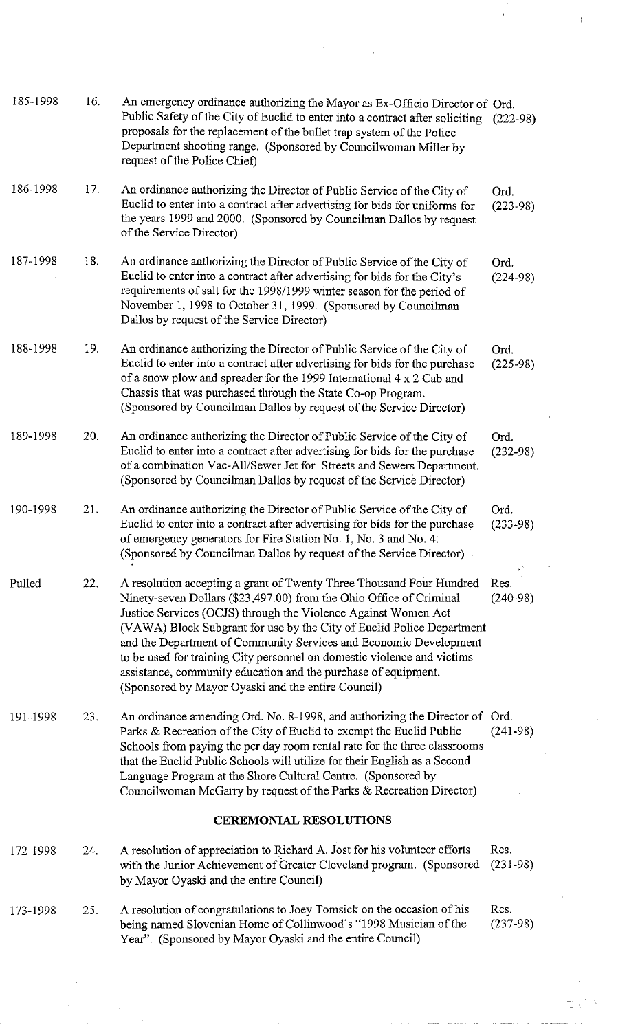| 185-1998                      | 16. | An emergency ordinance authorizing the Mayor as Ex-Officio Director of Ord.<br>Public Safety of the City of Euclid to enter into a contract after soliciting<br>proposals for the replacement of the bullet trap system of the Police<br>Department shooting range. (Sponsored by Councilwoman Miller by<br>request of the Police Chief)                                                                                                                                                                                                                       | $(222-98)$         |  |  |  |  |  |
|-------------------------------|-----|----------------------------------------------------------------------------------------------------------------------------------------------------------------------------------------------------------------------------------------------------------------------------------------------------------------------------------------------------------------------------------------------------------------------------------------------------------------------------------------------------------------------------------------------------------------|--------------------|--|--|--|--|--|
| 186-1998                      | 17. | An ordinance authorizing the Director of Public Service of the City of<br>Euclid to enter into a contract after advertising for bids for uniforms for<br>the years 1999 and 2000. (Sponsored by Councilman Dallos by request<br>of the Service Director)                                                                                                                                                                                                                                                                                                       | Ord.<br>$(223-98)$ |  |  |  |  |  |
| 187-1998                      | 18. | An ordinance authorizing the Director of Public Service of the City of<br>Euclid to enter into a contract after advertising for bids for the City's<br>requirements of salt for the 1998/1999 winter season for the period of<br>November 1, 1998 to October 31, 1999. (Sponsored by Councilman<br>Dallos by request of the Service Director)                                                                                                                                                                                                                  | Ord.<br>$(224-98)$ |  |  |  |  |  |
| 188-1998                      | 19. | An ordinance authorizing the Director of Public Service of the City of<br>Euclid to enter into a contract after advertising for bids for the purchase<br>of a snow plow and spreader for the 1999 International 4 x 2 Cab and<br>Chassis that was purchased through the State Co-op Program.<br>(Sponsored by Councilman Dallos by request of the Service Director)                                                                                                                                                                                            | Ord.<br>$(225-98)$ |  |  |  |  |  |
| 189-1998                      | 20. | An ordinance authorizing the Director of Public Service of the City of<br>Euclid to enter into a contract after advertising for bids for the purchase<br>of a combination Vac-All/Sewer Jet for Streets and Sewers Department.<br>(Sponsored by Councilman Dallos by request of the Service Director)                                                                                                                                                                                                                                                          | Ord.<br>$(232-98)$ |  |  |  |  |  |
| 190-1998                      | 21. | An ordinance authorizing the Director of Public Service of the City of<br>Euclid to enter into a contract after advertising for bids for the purchase<br>of emergency generators for Fire Station No. 1, No. 3 and No. 4.<br>(Sponsored by Councilman Dallos by request of the Service Director)                                                                                                                                                                                                                                                               | Ord.<br>$(233-98)$ |  |  |  |  |  |
| Pulled                        | 22. | A resolution accepting a grant of Twenty Three Thousand Four Hundred<br>Ninety-seven Dollars (\$23,497.00) from the Ohio Office of Criminal<br>Justice Services (OCJS) through the Violence Against Women Act<br>(VAWA) Block Subgrant for use by the City of Euclid Police Department<br>and the Department of Community Services and Economic Development<br>to be used for training City personnel on domestic violence and victims<br>assistance, community education and the purchase of equipment.<br>(Sponsored by Mayor Oyaski and the entire Council) | Res.<br>$(240-98)$ |  |  |  |  |  |
| 191-1998                      | 23. | An ordinance amending Ord. No. 8-1998, and authorizing the Director of Ord.<br>Parks & Recreation of the City of Euclid to exempt the Euclid Public<br>Schools from paying the per day room rental rate for the three classrooms<br>that the Euclid Public Schools will utilize for their English as a Second<br>Language Program at the Shore Cultural Centre. (Sponsored by<br>Councilwoman McGarry by request of the Parks & Recreation Director)                                                                                                           | $(241-98)$         |  |  |  |  |  |
| <b>CEREMONIAL RESOLUTIONS</b> |     |                                                                                                                                                                                                                                                                                                                                                                                                                                                                                                                                                                |                    |  |  |  |  |  |
| 172-1998                      | 24. | A resolution of appreciation to Richard A. Jost for his volunteer efforts<br>with the Junior Achievement of Greater Cleveland program. (Sponsored<br>by Mayor Oyaski and the entire Council)                                                                                                                                                                                                                                                                                                                                                                   | Res.<br>$(231-98)$ |  |  |  |  |  |
| 173-1998                      | 25. | A resolution of congratulations to Joey Tomsick on the occasion of his<br>being named Slovenian Home of Collinwood's "1998 Musician of the<br>Year". (Sponsored by Mayor Oyaski and the entire Council)                                                                                                                                                                                                                                                                                                                                                        | Res.<br>$(237-98)$ |  |  |  |  |  |

 $\frac{1}{\sqrt{2}}$ 

 $\label{eq:2.1} \mathcal{L}(\mathcal{L}) = \frac{1}{2} \sum_{i=1}^n \frac{1}{2} \sum_{j=1}^n \frac{1}{2} \sum_{j=1}^n \frac{1}{2} \sum_{j=1}^n \frac{1}{2} \sum_{j=1}^n \frac{1}{2} \sum_{j=1}^n \frac{1}{2} \sum_{j=1}^n \frac{1}{2} \sum_{j=1}^n \frac{1}{2} \sum_{j=1}^n \frac{1}{2} \sum_{j=1}^n \frac{1}{2} \sum_{j=1}^n \frac{1}{2} \sum_{j=1}^n \frac{1}{2$ 

 $\frac{1}{\sqrt{2}}$